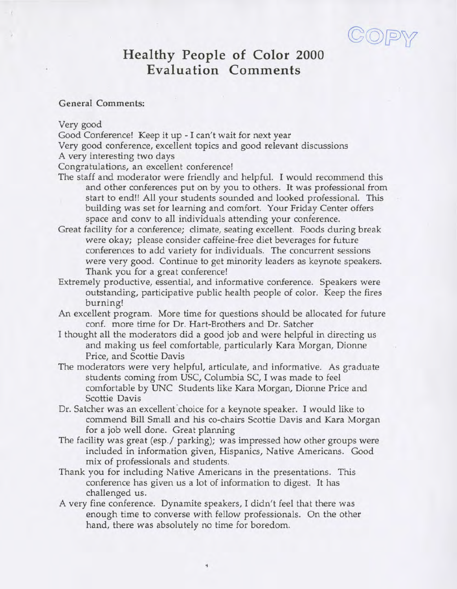## **Healthy People of Color 2000 Evaluation Comments**

## General Comments:

Very good

Good Conference! Keep it up - I can't wait for next year

Very good conference, excellent topics and good relevant discussions

A very interesting two days

Congratulations, an excellent conference!

- The staff and moderator were friendly and helpful. I would recommend this and other conferences put on by you to others. It was professional from start to end!! All your students sounded and looked professional. This building was set for learning and comfort. Your Friday Center offers space and conv to all individuals attending your conference.
- Great facility for a conference; climate, seating excellent. Foods during break were okay; please consider caffeine-free diet beverages for future conferences to add variety for individuals. The concurrent sessions were very good. Continue to get minority leaders as keynote speakers. Thank you for a great conference!
- Extremely productive, essential, and informative conference. Speakers were outstanding, participative public health people of color. Keep the fires burning!
- An excellent program. More time for questions should be allocated for future conf. more time for Dr. Hart-Brothers and Dr. Satcher
- I thought all the moderators did a good job and were helpful in directing us and making us feel comfortable, particularly Kara Morgan, Dionne Price, and Scottie Davis
- The moderators were very helpful, articulate, and informative. As graduate students coming from USC, Columbia SC, I was made to feel comfortable by UNC Students like Kara Morgan, Dionne Price and Scottie Davis
- Dr. Satcher was an excellent choice for a keynote speaker. I would like to commend Bill Small and his co-chairs Scottie Davis and Kara Morgan for a job well done. Great planning
- The facility was great (esp./ parking); was impressed how other groups were included in information given, Hispanics, Native Americans. Good mix of professionals and students.
- Thank you for including Native Americans in the presentations. This conference has given us a lot of information to digest. It has challenged us.
- A very fine conference. Dynamite speakers, I didn't feel that there was enough time to converse with fellow professionals. On the other hand, there was absolutely no time for boredom.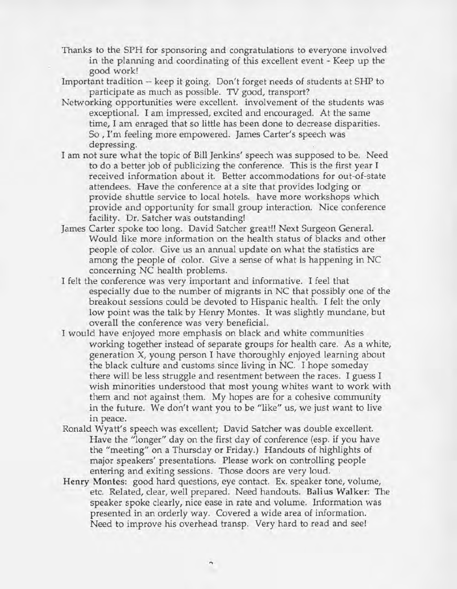- Thanks to the SPH for sponsoring and congratulations to everyone involved in the planning and coordinating of this excellent event - Keep up the good work!
- Important tradition -- keep it going. Don't forget needs of students at SHP to participate as much as possible. TV good, transport?
- Networking opportunities were excellent, involvement of the students was exceptional. I am impressed, excited and encouraged. At the same time, I am enraged that so little has been done to decrease disparities. So , I'm feeling more empowered. James Carter's speech was depressing.
- I am not sure what the topic of Bill Jenkins' speech was supposed to be. Need to do a better job of publicizing the conference. This is the first year I received information about it. Better accommodations for out-of-state attendees. Have the conference at a site that provides lodging or provide shuttle service to local hotels, have more workshops which provide and opportunity for small group interaction. Nice conference facility. Dr. Satcher was outstanding!
- James Carter spoke too long. David Satcher great!! Next Surgeon General. Would like more information on the health status of blacks and other people of color. Give us an annual update on what the statistics are among the people of color. Give a sense of what is happening in NC concerning NC health problems.
- I felt the conference was very important and informative. I feel that especially due to the number of migrants in NC that possibly one of the breakout sessions could be devoted to Hispanic health. I felt the only low point was the talk by Henry Montes. It was slightly mundane, but overall the conference was very beneficial.
- I would have enjoyed more emphasis on black and white communities working together instead of separate groups for health care. As a white, generation X, young person I have thoroughly enjoyed learning about the black culture and customs since living in NC. I hope someday there will be less struggle and resentment between the races. I guess I wish minorities understood that most young whites want to work with them and not against them. My hopes are for a cohesive community in the future. We don't want you to be "like" us, we just want to live in peace.
- Ronald Wyatt's speech was excellent; David Satcher was double excellent. Have the "longer" day on the first day of conference (esp. if you have the "meeting" on a Thursday or Friday.) Handouts of highlights of major speakers' presentations. Please work on controlling people entering and exiting sessions. Those doors are very loud.
- Henry Montes: good hard questions, eye contact. Ex. speaker tone, volume, etc. Related, clear, well prepared. Need handouts. Balius Walker: The speaker spoke clearly, nice ease in rate and volume. Information was presented in an orderly way. Covered a wide area of information. Need to improve his overhead transp. Very hard to read and see!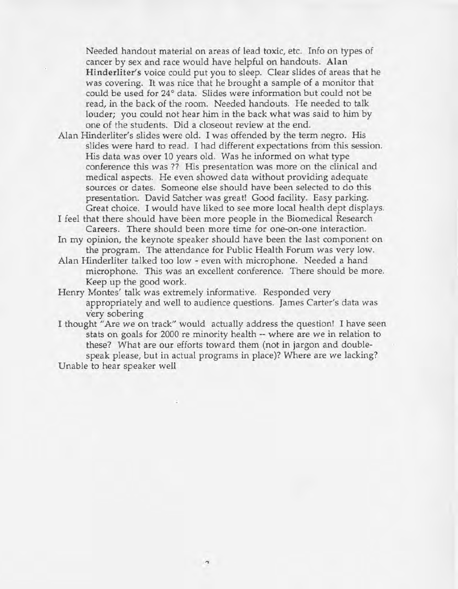Needed handout material on areas of lead toxic, etc. Info on types of cancer by sex and race would have helpful on handouts. Alan Hinderliter's voice could put you to sleep. Clear slides of areas that he was covering. It was nice that he brought a sample of a monitor that could be used for 24° data. Slides were information but could not be read, in the back of the room. Needed handouts. He needed to talk louder; you could not hear him in the back what was said to him by one of the students. Did a closeout review at the end.

- Alan Hinderliter's slides were old. I was offended by the term negro. His slides were hard to read. I had different expectations from this session. His data was over 10 years old. Was he informed on what type conference this was ?? His presentation was more on the clinical and medical aspects. He even showed data without providing adequate sources or dates. Someone else should have been selected to do this presentation. David Satcher was great! Good facility. Easy parking. Great choice. I would have liked to see more local health dept displays.
- I feel that there should have been more people in the Biomedical Research Careers. There should been more time for one-on-one interaction.
- In my opinion, the keynote speaker should have been the last component on the program. The attendance for Public Health Forum was very low.
- Alan Hinderliter talked too low even with microphone. Needed a hand microphone. This was an excellent conference. There should be more. Keep up the good work.
- Henry Montes' talk was extremely informative. Responded very appropriately and well to audience questions. James Carter's data was very sobering
- I thought "Are we on track" would actually address the question! I have seen stats on goals for 2000 re minority health -- where are we in relation to these? What are our efforts toward them (not in jargon and doublespeak please, but in actual programs in place)? Where are we lacking? Unable to hear speaker well

 $\mathbf{r}$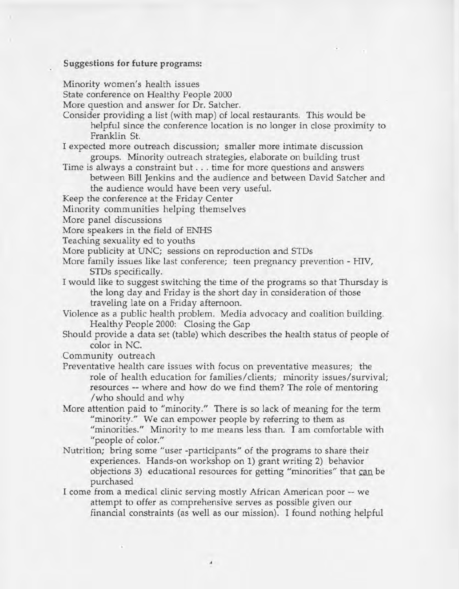## Suggestions for future programs:

Minority women's health issues

State conference on Healthy People 2000

More question and answer for Dr. Satcher.

- Consider providing a list (with map) of local restaurants. This would be helpful since the conference location is no longer in close proximity to Franklin St.
- I expected more outreach discussion; smaller more intimate discussion groups. Minority outreach strategies, elaborate on building trust
- Time is always a constraint but . . . time for more questions and answers between Bill Jenkins and the audience and between David Satcher and the audience would have been very useful.
- Keep the conference at the Friday Center

Minority communities helping themselves

More panel discussions

More speakers in the field of ENHS

Teaching sexuality ed to youths

More publicity at UNC; sessions on reproduction and STDs

- More family issues like last conference; teen pregnancy prevention HIV, STDs specifically.
- I would like to suggest switching the time of the programs so that Thursday is the long day and Friday is the short day in consideration of those traveling late on a Friday afternoon.

Violence as a public health problem. Media advocacy and coalition building. Healthy People 2000: Closing the Gap

Should provide a data set (table) which describes the health status of people of color in NC.

Community outreach

- Preventative health care issues with focus on preventative measures; the role of health education for families/clients; minority issues/survival; resources — where and how do we find them? The role of mentoring /who should and why
- More attention paid to "minority." There is so lack of meaning for the term "minority." We can empower people by referring to them as "minorities." Minority to me means less than. I am comfortable with "people of color."
- Nutrition; bring some "user -participants" of the programs to share their experiences. Hands-on workshop on 1) grant writing 2) behavior objections 3) educational resources for getting "minorities" that can be purchased
- I come from a medical clinic serving mostly African American poor -- we attempt to offer as comprehensive serves as possible given our financial constraints (as well as our mission). I found nothing helpful

 $\boldsymbol{A}$